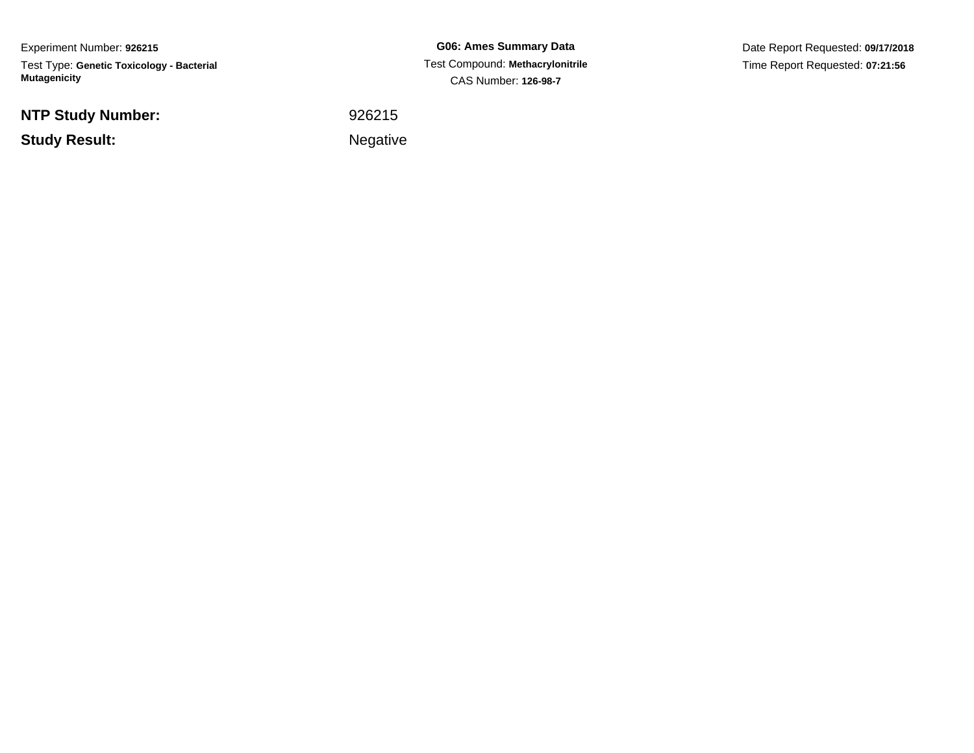Experiment Number: **926215**Test Type: **Genetic Toxicology - Bacterial Mutagenicity**

**NTP Study Number:**

**Study Result:**

**G06: Ames Summary Data** Test Compound: **Methacrylonitrile**CAS Number: **126-98-7**

Date Report Requested: **09/17/2018**Time Report Requested: **07:21:56**

 <sup>926215</sup>Negative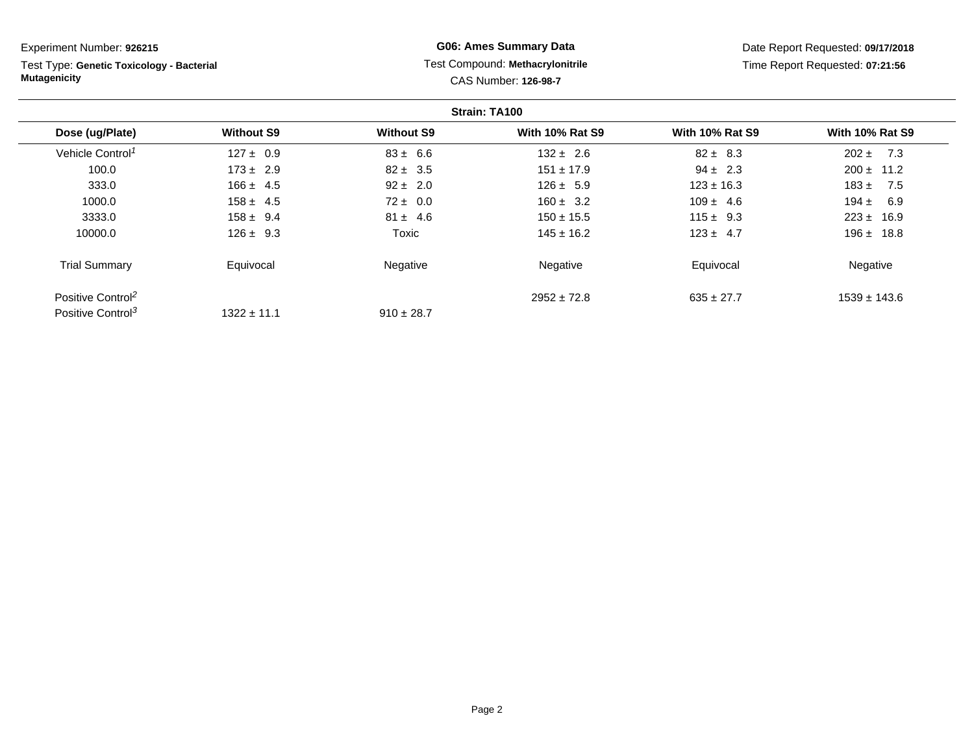Test Type: **Genetic Toxicology - Bacterial Mutagenicity**

## **G06: Ames Summary Data** Test Compound: **Methacrylonitrile**CAS Number: **126-98-7**

|                               |                   |                   | Strain: TA100          |                        |                        |
|-------------------------------|-------------------|-------------------|------------------------|------------------------|------------------------|
| Dose (ug/Plate)               | <b>Without S9</b> | <b>Without S9</b> | <b>With 10% Rat S9</b> | <b>With 10% Rat S9</b> | <b>With 10% Rat S9</b> |
| Vehicle Control <sup>1</sup>  | $127 \pm 0.9$     | $83 \pm 6.6$      | $132 \pm 2.6$          | $82 \pm 8.3$           | 7.3<br>$202 \pm$       |
| 100.0                         | $173 \pm 2.9$     | $82 \pm 3.5$      | $151 \pm 17.9$         | $94 \pm 2.3$           | $200 \pm 11.2$         |
| 333.0                         | $166 \pm 4.5$     | $92 \pm 2.0$      | $126 \pm 5.9$          | $123 \pm 16.3$         | $183 \pm$<br>7.5       |
| 1000.0                        | $158 \pm 4.5$     | $72 \pm 0.0$      | $160 \pm 3.2$          | $109 \pm 4.6$          | $194 +$<br>6.9         |
| 3333.0                        | $158 \pm 9.4$     | $81 \pm 4.6$      | $150 \pm 15.5$         | $115 \pm 9.3$          | $223 \pm 16.9$         |
| 10000.0                       | $126 \pm 9.3$     | Toxic             | $145 \pm 16.2$         | $123 \pm 4.7$          | $196 \pm 18.8$         |
| <b>Trial Summary</b>          | Equivocal         | Negative          | Negative               | Equivocal              | Negative               |
| Positive Control <sup>2</sup> |                   |                   | $2952 \pm 72.8$        | $635 \pm 27.7$         | $1539 \pm 143.6$       |
| Positive Control <sup>3</sup> | $1322 \pm 11.1$   | $910 \pm 28.7$    |                        |                        |                        |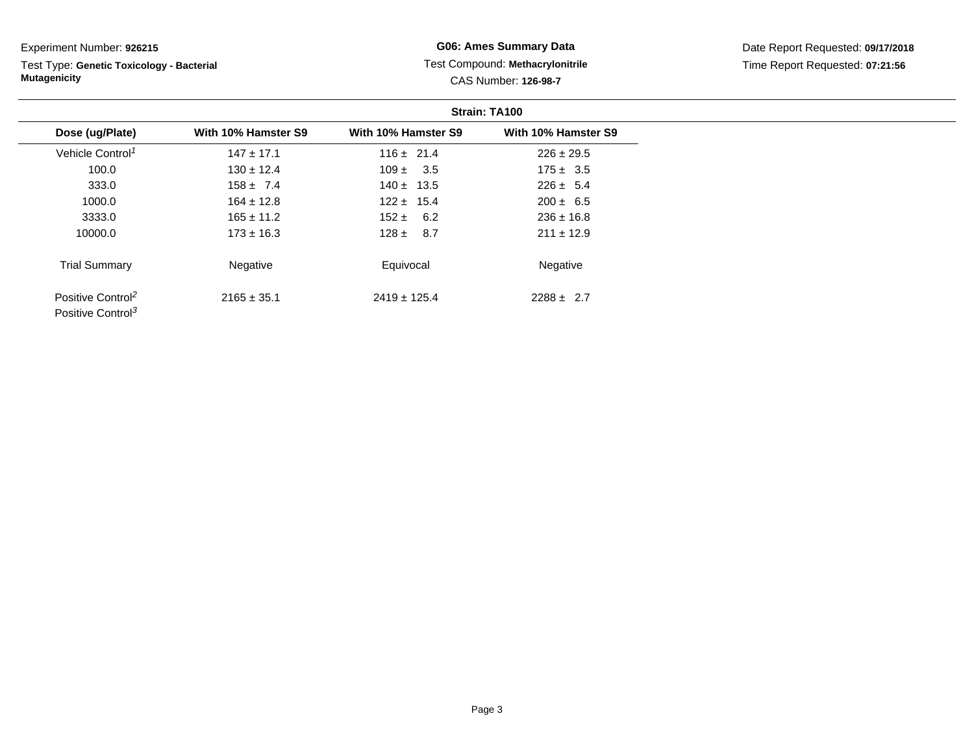Test Type: **Genetic Toxicology - Bacterial Mutagenicity**

### **G06: Ames Summary Data** Test Compound: **Methacrylonitrile**CAS Number: **126-98-7**

|                                                                |                     |                     | Strain: TA100       |
|----------------------------------------------------------------|---------------------|---------------------|---------------------|
| Dose (ug/Plate)                                                | With 10% Hamster S9 | With 10% Hamster S9 | With 10% Hamster S9 |
| Vehicle Control <sup>1</sup>                                   | $147 \pm 17.1$      | $116 \pm 21.4$      | $226 \pm 29.5$      |
| 100.0                                                          | $130 \pm 12.4$      | $109 \pm 3.5$       | $175 \pm 3.5$       |
| 333.0                                                          | $158 \pm 7.4$       | $140 \pm 13.5$      | $226 \pm 5.4$       |
| 1000.0                                                         | $164 \pm 12.8$      | $122 \pm 15.4$      | $200 \pm 6.5$       |
| 3333.0                                                         | $165 \pm 11.2$      | $152 \pm 6.2$       | $236 \pm 16.8$      |
| 10000.0                                                        | $173 \pm 16.3$      | $128 \pm 8.7$       | $211 \pm 12.9$      |
| <b>Trial Summary</b>                                           | Negative            | Equivocal           | Negative            |
| Positive Control <sup>2</sup><br>Positive Control <sup>3</sup> | $2165 \pm 35.1$     | $2419 \pm 125.4$    | $2288 \pm 2.7$      |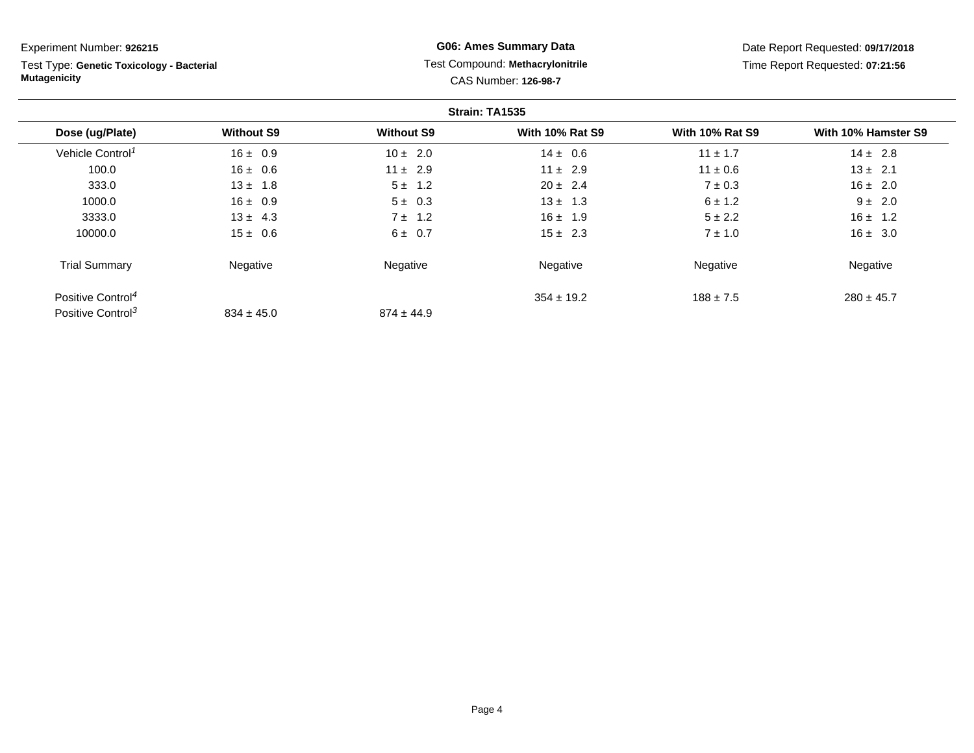Test Type: **Genetic Toxicology - Bacterial Mutagenicity**

## **G06: Ames Summary Data** Test Compound: **Methacrylonitrile**CAS Number: **126-98-7**

|                               |                   |                   | Strain: TA1535         |                        |                     |
|-------------------------------|-------------------|-------------------|------------------------|------------------------|---------------------|
| Dose (ug/Plate)               | <b>Without S9</b> | <b>Without S9</b> | <b>With 10% Rat S9</b> | <b>With 10% Rat S9</b> | With 10% Hamster S9 |
| Vehicle Control <sup>1</sup>  | $16 \pm 0.9$      | $10 \pm 2.0$      | $14 \pm 0.6$           | $11 \pm 1.7$           | $14 \pm 2.8$        |
| 100.0                         | $16 \pm 0.6$      | $11 \pm 2.9$      | $11 \pm 2.9$           | $11 \pm 0.6$           | $13 \pm 2.1$        |
| 333.0                         | $13 \pm 1.8$      | $5 \pm 1.2$       | $20 \pm 2.4$           | $7 \pm 0.3$            | $16 \pm 2.0$        |
| 1000.0                        | $16 \pm 0.9$      | $5 \pm 0.3$       | $13 \pm 1.3$           | $6 \pm 1.2$            | $9 \pm 2.0$         |
| 3333.0                        | $13 \pm 4.3$      | $7 \pm 1.2$       | $16 \pm 1.9$           | $5 \pm 2.2$            | $16 \pm 1.2$        |
| 10000.0                       | $15 \pm 0.6$      | $6 \pm 0.7$       | $15 \pm 2.3$           | $7 \pm 1.0$            | $16 \pm 3.0$        |
| <b>Trial Summary</b>          | Negative          | Negative          | Negative               | Negative               | Negative            |
| Positive Control <sup>4</sup> |                   |                   | $354 \pm 19.2$         | $188 \pm 7.5$          | $280 \pm 45.7$      |
| Positive Control <sup>3</sup> | $834 \pm 45.0$    | $874 \pm 44.9$    |                        |                        |                     |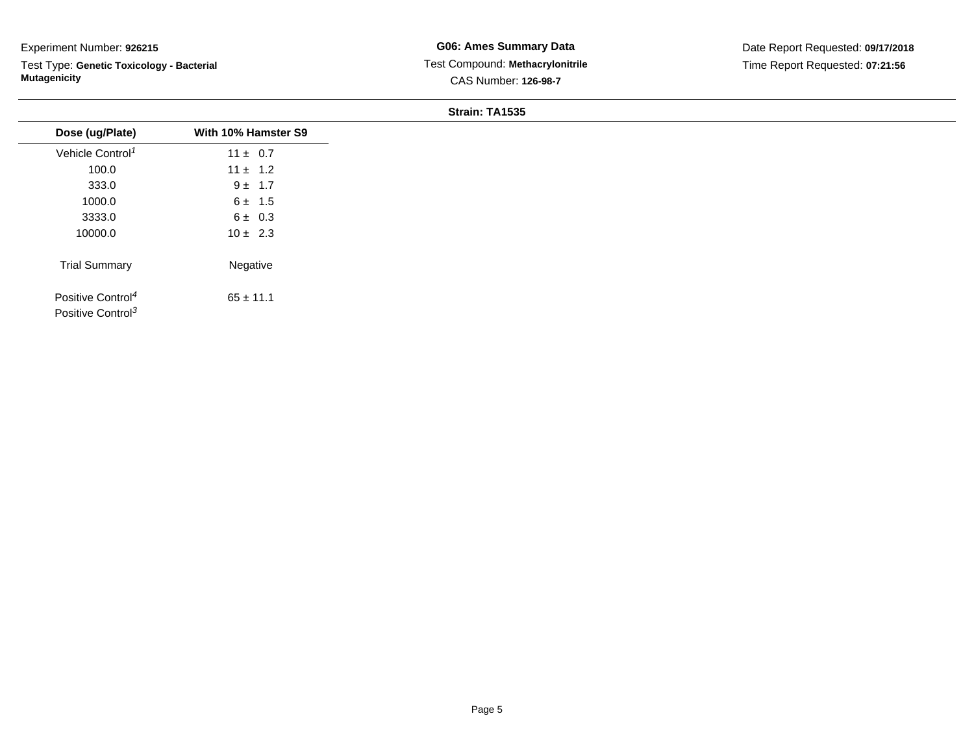Test Type: **Genetic Toxicology - Bacterial Mutagenicity**

**G06: Ames Summary Data** Test Compound: **Methacrylonitrile**CAS Number: **126-98-7**

Date Report Requested: **09/17/2018**Time Report Requested: **07:21:56**

#### **Strain: TA1535**

| Dose (ug/Plate)                                                | With 10% Hamster S9 |
|----------------------------------------------------------------|---------------------|
| Vehicle Control <sup>1</sup>                                   | $11 \pm 0.7$        |
| 100.0                                                          | $11 \pm 1.2$        |
| 333.0                                                          | $9 \pm 1.7$         |
| 1000.0                                                         | $6 \pm 1.5$         |
| 3333.0                                                         | $6 \pm 0.3$         |
| 10000.0                                                        | $10 \pm 2.3$        |
| <b>Trial Summary</b>                                           | Negative            |
| Positive Control <sup>4</sup><br>Positive Control <sup>3</sup> | $65 \pm 11.1$       |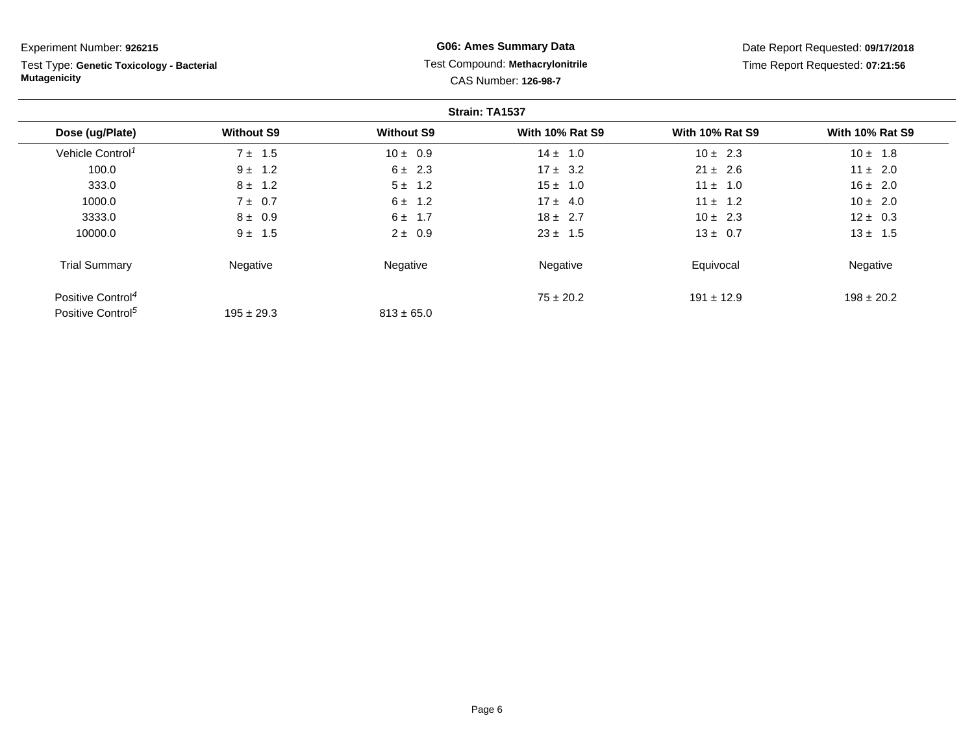Test Type: **Genetic Toxicology - Bacterial Mutagenicity**

## **G06: Ames Summary Data** Test Compound: **Methacrylonitrile**CAS Number: **126-98-7**

|                               |                   |                   | Strain: TA1537         |                        |                        |
|-------------------------------|-------------------|-------------------|------------------------|------------------------|------------------------|
| Dose (ug/Plate)               | <b>Without S9</b> | <b>Without S9</b> | <b>With 10% Rat S9</b> | <b>With 10% Rat S9</b> | <b>With 10% Rat S9</b> |
| Vehicle Control <sup>1</sup>  | $7 \pm 1.5$       | $10 \pm 0.9$      | $14 \pm 1.0$           | $10 \pm 2.3$           | $10 \pm 1.8$           |
| 100.0                         | $9 \pm 1.2$       | $6 \pm 2.3$       | $17 \pm 3.2$           | $21 \pm 2.6$           | $11 \pm 2.0$           |
| 333.0                         | $8 \pm 1.2$       | $5 \pm 1.2$       | $15 \pm 1.0$           | $11 \pm 1.0$           | $16 \pm 2.0$           |
| 1000.0                        | $7 \pm 0.7$       | $6 \pm 1.2$       | $17 \pm 4.0$           | $11 \pm 1.2$           | $10 \pm 2.0$           |
| 3333.0                        | $8 \pm 0.9$       | $6 \pm 1.7$       | $18 \pm 2.7$           | $10 \pm 2.3$           | $12 \pm 0.3$           |
| 10000.0                       | $9 \pm 1.5$       | $2 \pm 0.9$       | $23 \pm 1.5$           | $13 \pm 0.7$           | $13 \pm 1.5$           |
| <b>Trial Summary</b>          | Negative          | Negative          | Negative               | Equivocal              | Negative               |
| Positive Control <sup>4</sup> |                   |                   | $75 \pm 20.2$          | $191 \pm 12.9$         | $198 \pm 20.2$         |
| Positive Control <sup>5</sup> | $195 \pm 29.3$    | $813 \pm 65.0$    |                        |                        |                        |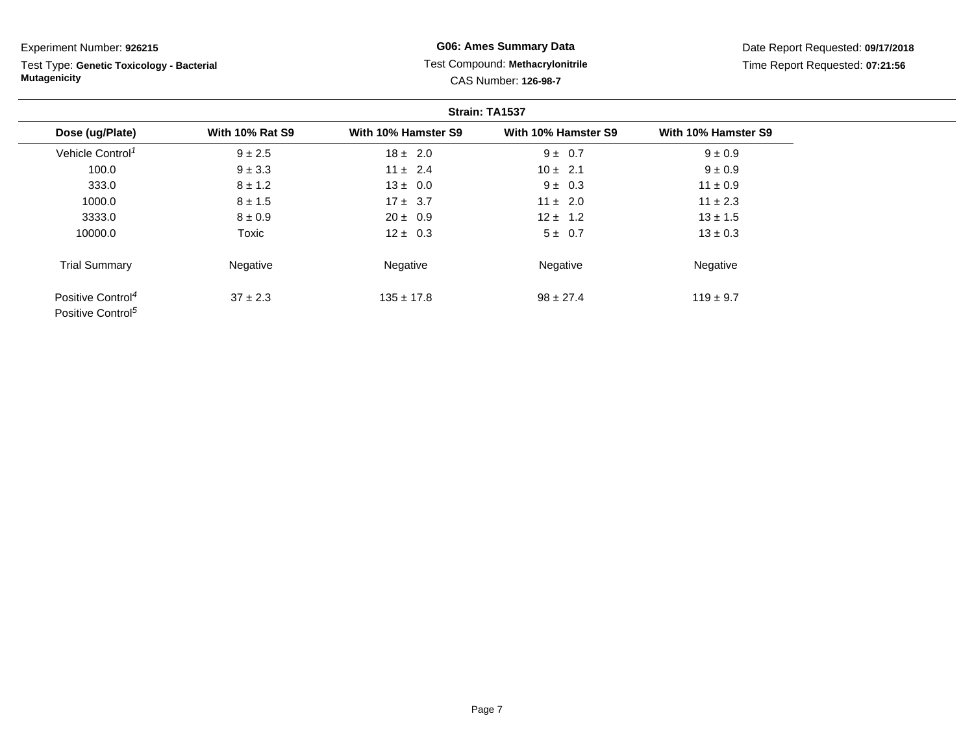Test Type: **Genetic Toxicology - Bacterial Mutagenicity**

**G06: Ames Summary Data** Test Compound: **Methacrylonitrile**CAS Number: **126-98-7**

|                                                                |                        |                     | Strain: TA1537      |                     |
|----------------------------------------------------------------|------------------------|---------------------|---------------------|---------------------|
| Dose (ug/Plate)                                                | <b>With 10% Rat S9</b> | With 10% Hamster S9 | With 10% Hamster S9 | With 10% Hamster S9 |
| Vehicle Control <sup>1</sup>                                   | $9 \pm 2.5$            | $18 \pm 2.0$        | $9 \pm 0.7$         | $9 \pm 0.9$         |
| 100.0                                                          | $9 \pm 3.3$            | $11 \pm 2.4$        | $10 \pm 2.1$        | $9 \pm 0.9$         |
| 333.0                                                          | $8 \pm 1.2$            | $13 \pm 0.0$        | $9 \pm 0.3$         | $11 \pm 0.9$        |
| 1000.0                                                         | $8 \pm 1.5$            | $17 \pm 3.7$        | $11 \pm 2.0$        | $11 \pm 2.3$        |
| 3333.0                                                         | $8 \pm 0.9$            | $20 \pm 0.9$        | $12 \pm 1.2$        | $13 \pm 1.5$        |
| 10000.0                                                        | Toxic                  | $12 \pm 0.3$        | 5 ± 0.7             | $13 \pm 0.3$        |
| <b>Trial Summary</b>                                           | Negative               | Negative            | Negative            | Negative            |
| Positive Control <sup>4</sup><br>Positive Control <sup>5</sup> | $37 \pm 2.3$           | $135 \pm 17.8$      | $98 \pm 27.4$       | $119 \pm 9.7$       |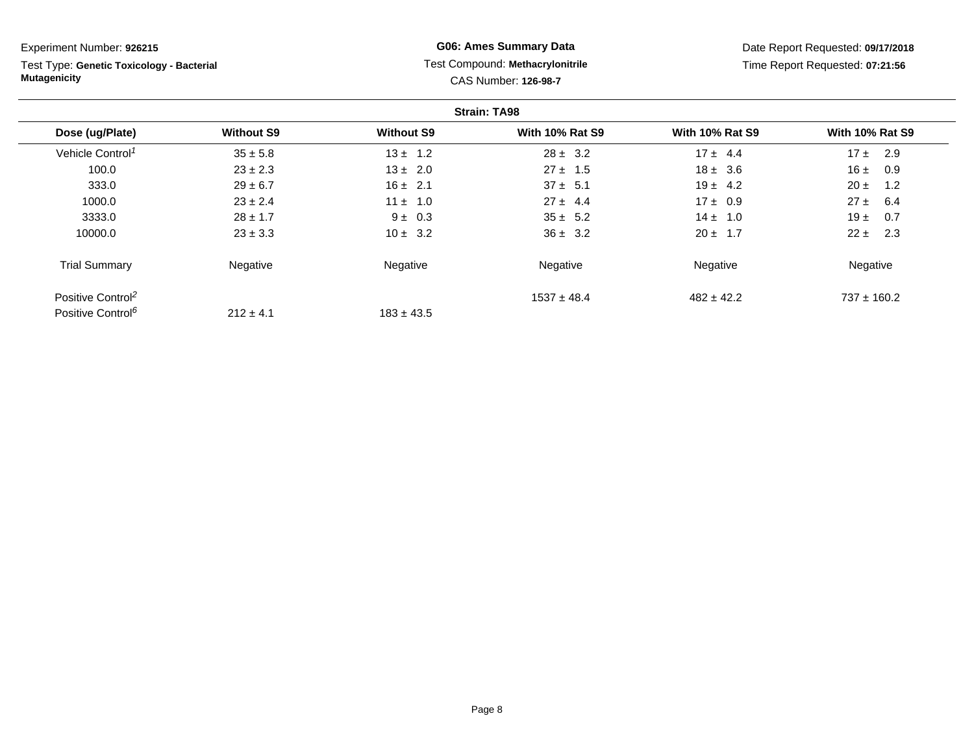Test Type: **Genetic Toxicology - Bacterial Mutagenicity**

## **G06: Ames Summary Data** Test Compound: **Methacrylonitrile**CAS Number: **126-98-7**

|                               |                   |                   | <b>Strain: TA98</b>    |                        |                        |
|-------------------------------|-------------------|-------------------|------------------------|------------------------|------------------------|
| Dose (ug/Plate)               | <b>Without S9</b> | <b>Without S9</b> | <b>With 10% Rat S9</b> | <b>With 10% Rat S9</b> | <b>With 10% Rat S9</b> |
| Vehicle Control <sup>1</sup>  | $35 \pm 5.8$      | $13 \pm 1.2$      | $28 \pm 3.2$           | $17 \pm 4.4$           | 17±<br>2.9             |
| 100.0                         | $23 \pm 2.3$      | $13 \pm 2.0$      | $27 \pm 1.5$           | $18 \pm 3.6$           | 16±<br>0.9             |
| 333.0                         | $29 \pm 6.7$      | $16 \pm 2.1$      | $37 \pm 5.1$           | $19 \pm 4.2$           | $20 \pm$<br>1.2        |
| 1000.0                        | $23 \pm 2.4$      | $11 \pm 1.0$      | $27 \pm 4.4$           | $17 \pm 0.9$           | $27 \pm 6.4$           |
| 3333.0                        | $28 \pm 1.7$      | $9 \pm 0.3$       | $35 \pm 5.2$           | $14 \pm 1.0$           | 19 $\pm$<br>0.7        |
| 10000.0                       | $23 \pm 3.3$      | $10 \pm 3.2$      | $36 \pm 3.2$           | $20 \pm 1.7$           | $22 \pm$<br>2.3        |
| <b>Trial Summary</b>          | Negative          | Negative          | Negative               | Negative               | Negative               |
| Positive Control <sup>2</sup> |                   |                   | $1537 \pm 48.4$        | $482 \pm 42.2$         | $737 \pm 160.2$        |
| Positive Control <sup>6</sup> | $212 \pm 4.1$     | $183 \pm 43.5$    |                        |                        |                        |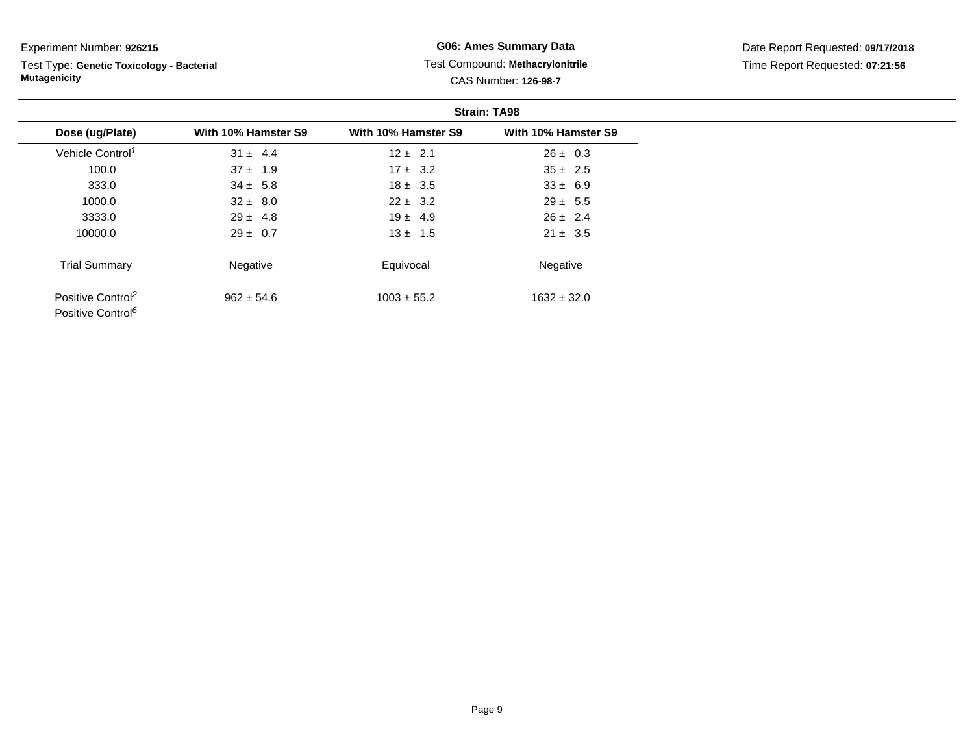Test Type: **Genetic Toxicology - Bacterial Mutagenicity**

### **G06: Ames Summary Data** Test Compound: **Methacrylonitrile**CAS Number: **126-98-7**

|                                                                |                     |                     | <b>Strain: TA98</b> |
|----------------------------------------------------------------|---------------------|---------------------|---------------------|
| Dose (ug/Plate)                                                | With 10% Hamster S9 | With 10% Hamster S9 | With 10% Hamster S9 |
| Vehicle Control <sup>1</sup>                                   | $31 \pm 4.4$        | $12 \pm 2.1$        | $26 \pm 0.3$        |
| 100.0                                                          | $37 \pm 1.9$        | $17 \pm 3.2$        | $35 \pm 2.5$        |
| 333.0                                                          | $34 \pm 5.8$        | $18 \pm 3.5$        | $33 \pm 6.9$        |
| 1000.0                                                         | $32 \pm 8.0$        | $22 \pm 3.2$        | $29 \pm 5.5$        |
| 3333.0                                                         | $29 \pm 4.8$        | $19 \pm 4.9$        | $26 \pm 2.4$        |
| 10000.0                                                        | $29 \pm 0.7$        | $13 \pm 1.5$        | $21 \pm 3.5$        |
| <b>Trial Summary</b>                                           | Negative            | Equivocal           | Negative            |
| Positive Control <sup>2</sup><br>Positive Control <sup>6</sup> | $962 \pm 54.6$      | $1003 \pm 55.2$     | $1632 \pm 32.0$     |